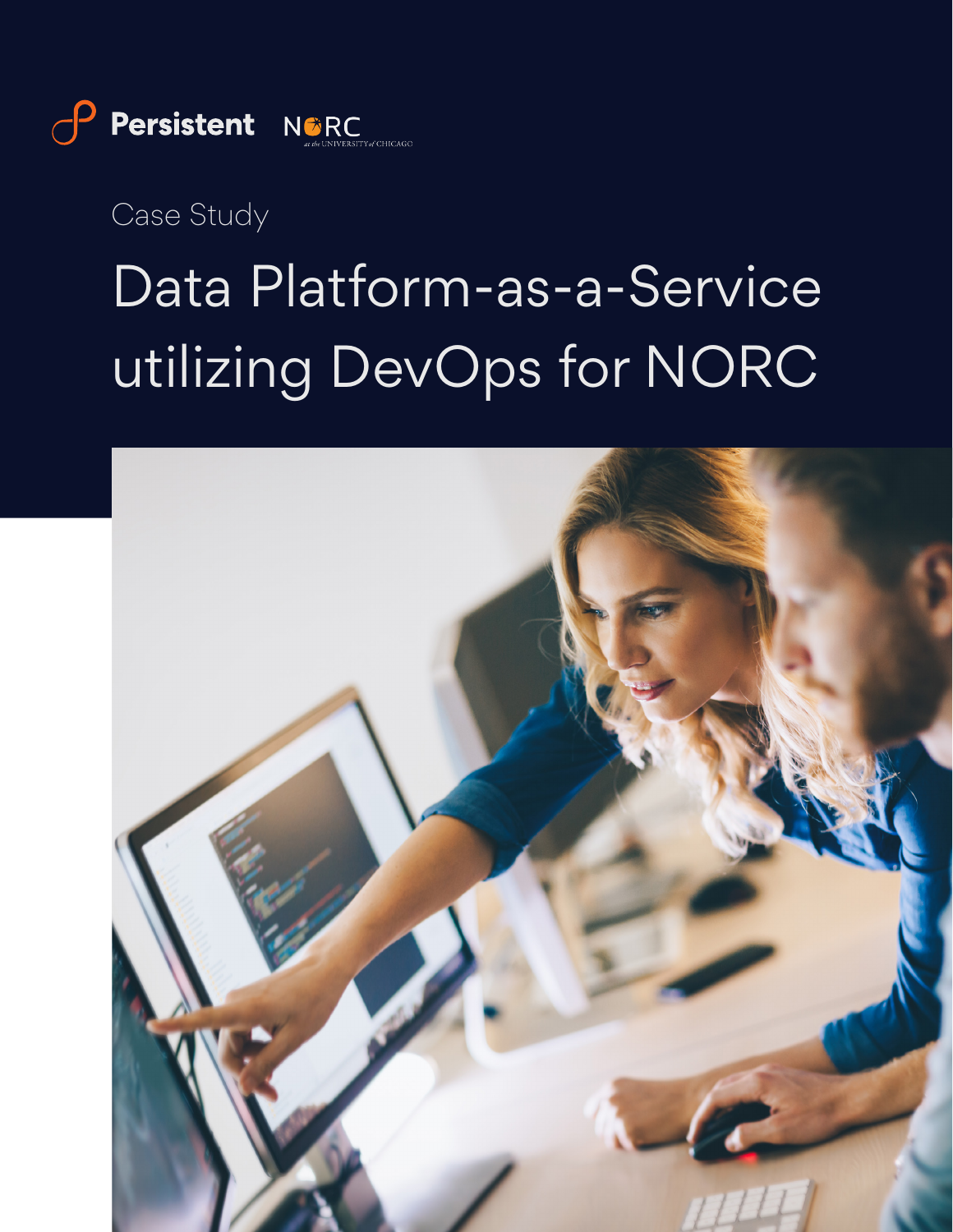

*Case Study*

# Data Platform-as-a-Service utilizing DevOps for NORC

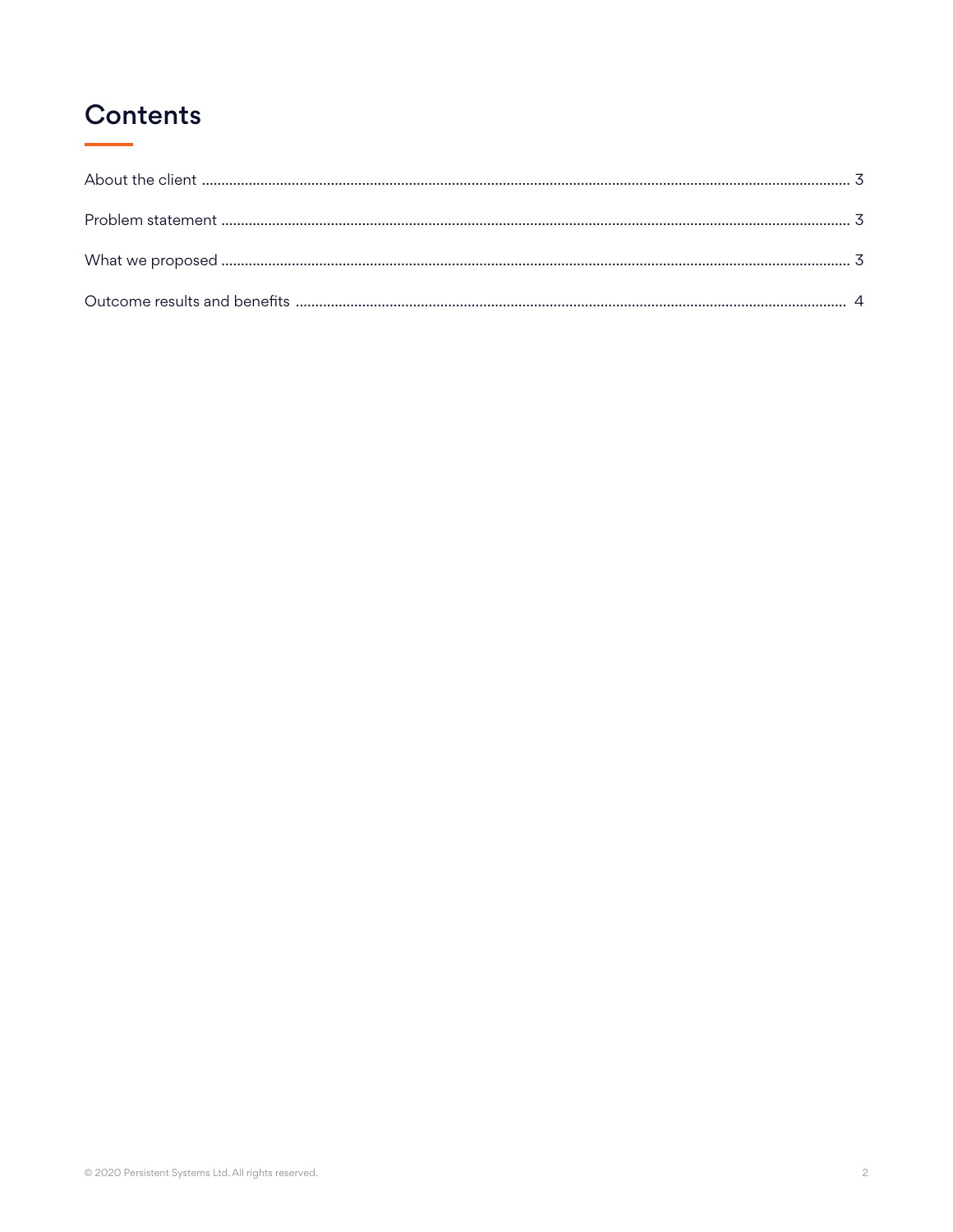# **Contents**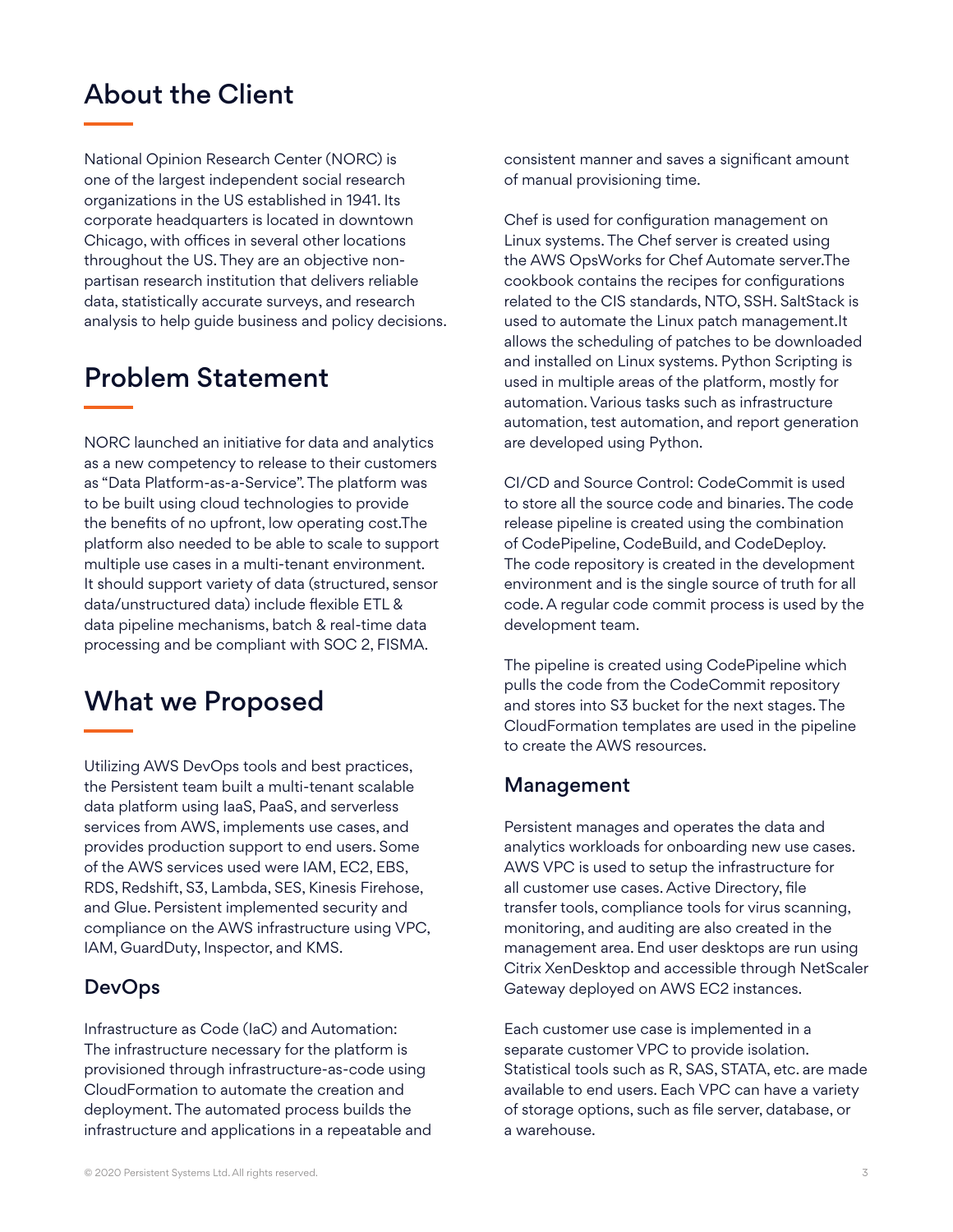## About the Client

National Opinion Research Center (NORC) is one of the largest independent social research organizations in the US established in 1941. Its corporate headquarters is located in downtown Chicago, with offices in several other locations throughout the US. They are an objective nonpartisan research institution that delivers reliable data, statistically accurate surveys, and research analysis to help guide business and policy decisions.

# Problem Statement

NORC launched an initiative for data and analytics as a new competency to release to their customers as "Data Platform-as-a-Service". The platform was to be built using cloud technologies to provide the benefits of no upfront, low operating cost.The platform also needed to be able to scale to support multiple use cases in a multi-tenant environment. It should support variety of data (structured, sensor data/unstructured data) include flexible ETL & data pipeline mechanisms, batch & real-time data processing and be compliant with SOC 2, FISMA.

## What we Proposed

Utilizing AWS DevOps tools and best practices, the Persistent team built a multi-tenant scalable data platform using IaaS, PaaS, and serverless services from AWS, implements use cases, and provides production support to end users. Some of the AWS services used were IAM, EC2, EBS, RDS, Redshift, S3, Lambda, SES, Kinesis Firehose, and Glue. Persistent implemented security and compliance on the AWS infrastructure using VPC, IAM, GuardDuty, Inspector, and KMS.

#### **DevOps**

Infrastructure as Code (IaC) and Automation: The infrastructure necessary for the platform is provisioned through infrastructure-as-code using CloudFormation to automate the creation and deployment. The automated process builds the infrastructure and applications in a repeatable and consistent manner and saves a significant amount of manual provisioning time.

Chef is used for configuration management on Linux systems. The Chef server is created using the AWS OpsWorks for Chef Automate server.The cookbook contains the recipes for configurations related to the CIS standards, NTO, SSH. SaltStack is used to automate the Linux patch management.It allows the scheduling of patches to be downloaded and installed on Linux systems. Python Scripting is used in multiple areas of the platform, mostly for automation. Various tasks such as infrastructure automation, test automation, and report generation are developed using Python.

CI/CD and Source Control: CodeCommit is used to store all the source code and binaries. The code release pipeline is created using the combination of CodePipeline, CodeBuild, and CodeDeploy. The code repository is created in the development environment and is the single source of truth for all code. A regular code commit process is used by the development team.

The pipeline is created using CodePipeline which pulls the code from the CodeCommit repository and stores into S3 bucket for the next stages. The CloudFormation templates are used in the pipeline to create the AWS resources.

#### Management

Persistent manages and operates the data and analytics workloads for onboarding new use cases. AWS VPC is used to setup the infrastructure for all customer use cases. Active Directory, file transfer tools, compliance tools for virus scanning, monitoring, and auditing are also created in the management area. End user desktops are run using Citrix XenDesktop and accessible through NetScaler Gateway deployed on AWS EC2 instances.

Each customer use case is implemented in a separate customer VPC to provide isolation. Statistical tools such as R, SAS, STATA, etc. are made available to end users. Each VPC can have a variety of storage options, such as file server, database, or a warehouse.